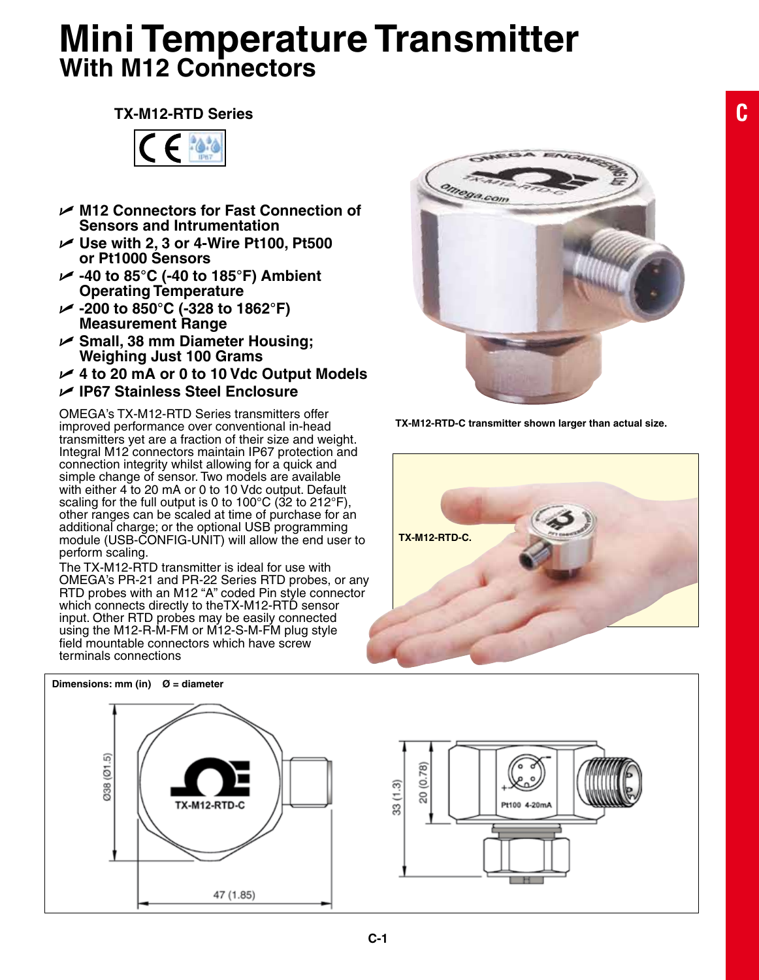## **Mini Temperature Transmitter With M12 Connectors**

## **TX-M12-RTD Series**



- U **M12 Connectors for Fast Connection of Sensors and Intrumentation**
- **► Use with 2, 3 or 4-Wire Pt100, Pt500 or Pt1000 Sensors**
- U **-40 to 85°C (-40 to 185°F) Ambient Operating Temperature**
- U **-200 to 850°C (-328 to 1862°F) Measurement Range**
- U **Small, 38 mm Diameter Housing; Weighing Just 100 Grams**
- U **4 to 20 mA or 0 to 10 Vdc Output Models**
- U **IP67 Stainless Steel Enclosure**

Omega's TX-M12-RTD Series transmitters offer improved performance over conventional in-head transmitters yet are a fraction of their size and weight. Integral M12 connectors maintain IP67 protection and connection integrity whilst allowing for a quick and simple change of sensor. Two models are available with either 4 to 20 mA or 0 to 10 Vdc output. Default scaling for the full output is 0 to 100 $\degree$ C (32 to 212 $\degree$ F), other ranges can be scaled at time of purchase for  $an$ additional charge; or the optional USB programming module (USB-CONFIG-UNIT) will allow the end user to perform scaling.

The TX-M12-RTD transmitter is ideal for use with Omega's PR-21 and PR-22 Series RTD probes, or any RTD probes with an M12 "A" coded Pin style connector which connects directly to the TX-M12-RTD sensor input. Other RTD probes may be easily connected using the M12-R-M-FM or M12-S-M-FM plug style field mountable connectors which have screw terminals connections

**Dimensions: mm (in) Ø = diameter**



**TX-M12-RTD-C transmitter shown larger than actual size.**